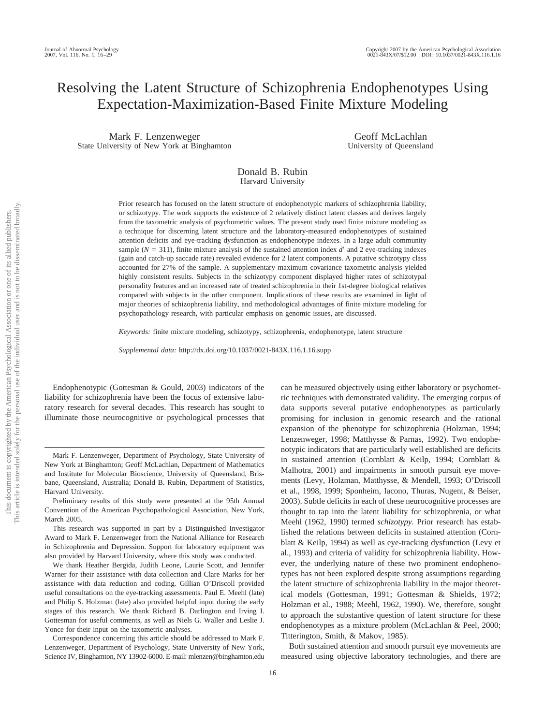# Resolving the Latent Structure of Schizophrenia Endophenotypes Using Expectation-Maximization-Based Finite Mixture Modeling

Mark F. Lenzenweger State University of New York at Binghamton

Geoff McLachlan University of Queensland

# Donald B. Rubin Harvard University

Prior research has focused on the latent structure of endophenotypic markers of schizophrenia liability, or schizotypy. The work supports the existence of 2 relatively distinct latent classes and derives largely from the taxometric analysis of psychometric values. The present study used finite mixture modeling as a technique for discerning latent structure and the laboratory-measured endophenotypes of sustained attention deficits and eye-tracking dysfunction as endophenotype indexes. In a large adult community sample ( $N = 311$ ), finite mixture analysis of the sustained attention index  $d'$  and 2 eye-tracking indexes (gain and catch-up saccade rate) revealed evidence for 2 latent components. A putative schizotypy class accounted for 27% of the sample. A supplementary maximum covariance taxometric analysis yielded highly consistent results. Subjects in the schizotypy component displayed higher rates of schizotypal personality features and an increased rate of treated schizophrenia in their 1st-degree biological relatives compared with subjects in the other component. Implications of these results are examined in light of major theories of schizophrenia liability, and methodological advantages of finite mixture modeling for psychopathology research, with particular emphasis on genomic issues, are discussed.

*Keywords:* finite mixture modeling, schizotypy, schizophrenia, endophenotype, latent structure

*Supplemental data:* http://dx.doi.org/10.1037/0021-843X.116.1.16.supp

Endophenotypic (Gottesman & Gould, 2003) indicators of the liability for schizophrenia have been the focus of extensive laboratory research for several decades. This research has sought to illuminate those neurocognitive or psychological processes that

can be measured objectively using either laboratory or psychometric techniques with demonstrated validity. The emerging corpus of data supports several putative endophenotypes as particularly promising for inclusion in genomic research and the rational expansion of the phenotype for schizophrenia (Holzman, 1994; Lenzenweger, 1998; Matthysse & Parnas, 1992). Two endophenotypic indicators that are particularly well established are deficits in sustained attention (Cornblatt & Keilp, 1994; Cornblatt & Malhotra, 2001) and impairments in smooth pursuit eye movements (Levy, Holzman, Matthysse, & Mendell, 1993; O'Driscoll et al., 1998, 1999; Sponheim, Iacono, Thuras, Nugent, & Beiser, 2003). Subtle deficits in each of these neurocognitive processes are thought to tap into the latent liability for schizophrenia, or what Meehl (1962, 1990) termed *schizotypy*. Prior research has established the relations between deficits in sustained attention (Cornblatt & Keilp, 1994) as well as eye-tracking dysfunction (Levy et al., 1993) and criteria of validity for schizophrenia liability. However, the underlying nature of these two prominent endophenotypes has not been explored despite strong assumptions regarding the latent structure of schizophrenia liability in the major theoretical models (Gottesman, 1991; Gottesman & Shields, 1972; Holzman et al., 1988; Meehl, 1962, 1990). We, therefore, sought to approach the substantive question of latent structure for these endophenotypes as a mixture problem (McLachlan & Peel, 2000; Titterington, Smith, & Makov, 1985).

Both sustained attention and smooth pursuit eye movements are measured using objective laboratory technologies, and there are

Mark F. Lenzenweger, Department of Psychology, State University of New York at Binghamton; Geoff McLachlan, Department of Mathematics and Institute for Molecular Bioscience, University of Queensland, Brisbane, Queensland, Australia; Donald B. Rubin, Department of Statistics, Harvard University.

Preliminary results of this study were presented at the 95th Annual Convention of the American Psychopathological Association, New York, March 2005.

This research was supported in part by a Distinguished Investigator Award to Mark F. Lenzenweger from the National Alliance for Research in Schizophrenia and Depression. Support for laboratory equipment was also provided by Harvard University, where this study was conducted.

We thank Heather Bergida, Judith Leone, Laurie Scott, and Jennifer Warner for their assistance with data collection and Clare Marks for her assistance with data reduction and coding. Gillian O'Driscoll provided useful consultations on the eye-tracking assessments. Paul E. Meehl (late) and Philip S. Holzman (late) also provided helpful input during the early stages of this research. We thank Richard B. Darlington and Irving I. Gottesman for useful comments, as well as Niels G. Waller and Leslie J. Yonce for their input on the taxometric analyses.

Correspondence concerning this article should be addressed to Mark F. Lenzenweger, Department of Psychology, State University of New York, Science IV, Binghamton, NY 13902-6000. E-mail: mlenzen@binghamton.edu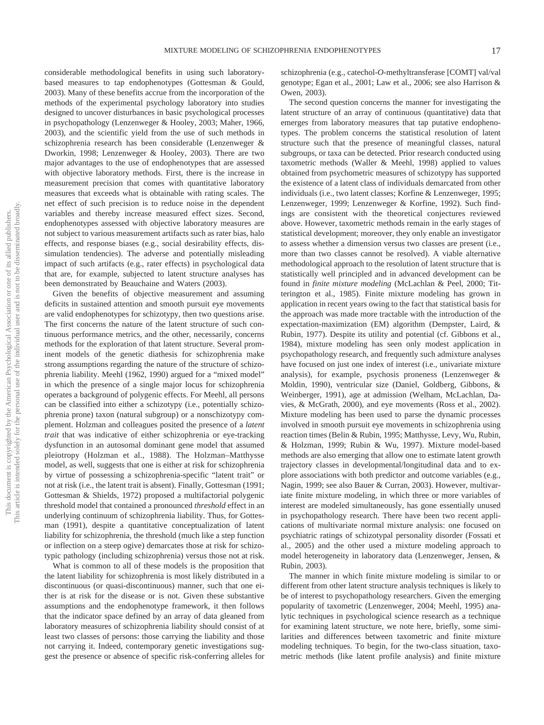considerable methodological benefits in using such laboratorybased measures to tap endophenotypes (Gottesman & Gould, 2003). Many of these benefits accrue from the incorporation of the methods of the experimental psychology laboratory into studies designed to uncover disturbances in basic psychological processes in psychopathology (Lenzenweger & Hooley, 2003; Maher, 1966, 2003), and the scientific yield from the use of such methods in schizophrenia research has been considerable (Lenzenweger & Dworkin, 1998; Lenzenweger & Hooley, 2003). There are two major advantages to the use of endophenotypes that are assessed with objective laboratory methods. First, there is the increase in measurement precision that comes with quantitative laboratory measures that exceeds what is obtainable with rating scales. The net effect of such precision is to reduce noise in the dependent variables and thereby increase measured effect sizes. Second, endophenotypes assessed with objective laboratory measures are not subject to various measurement artifacts such as rater bias, halo effects, and response biases (e.g., social desirability effects, dissimulation tendencies). The adverse and potentially misleading impact of such artifacts (e.g., rater effects) in psychological data that are, for example, subjected to latent structure analyses has been demonstrated by Beauchaine and Waters (2003).

Given the benefits of objective measurement and assuming deficits in sustained attention and smooth pursuit eye movements are valid endophenotypes for schizotypy, then two questions arise. The first concerns the nature of the latent structure of such continuous performance metrics, and the other, necessarily, concerns methods for the exploration of that latent structure. Several prominent models of the genetic diathesis for schizophrenia make strong assumptions regarding the nature of the structure of schizophrenia liability. Meehl (1962, 1990) argued for a "mixed model" in which the presence of a single major locus for schizophrenia operates a background of polygenic effects. For Meehl, all persons can be classified into either a schizotypy (i.e., potentially schizophrenia prone) taxon (natural subgroup) or a nonschizotypy complement. Holzman and colleagues posited the presence of a *latent trait* that was indicative of either schizophrenia or eye-tracking dysfunction in an autosomal dominant gene model that assumed pleiotropy (Holzman et al., 1988). The Holzman–Matthysse model, as well, suggests that one is either at risk for schizophrenia by virtue of possessing a schizophrenia-specific "latent trait" or not at risk (i.e., the latent trait is absent). Finally, Gottesman (1991; Gottesman & Shields, 1972) proposed a multifactorial polygenic threshold model that contained a pronounced *threshold* effect in an underlying continuum of schizophrenia liability. Thus, for Gottesman (1991), despite a quantitative conceptualization of latent liability for schizophrenia, the threshold (much like a step function or inflection on a steep ogive) demarcates those at risk for schizotypic pathology (including schizophrenia) versus those not at risk.

What is common to all of these models is the proposition that the latent liability for schizophrenia is most likely distributed in a discontinuous (or quasi-discontinuous) manner, such that one either is at risk for the disease or is not. Given these substantive assumptions and the endophenotype framework, it then follows that the indicator space defined by an array of data gleaned from laboratory measures of schizophrenia liability should consist of at least two classes of persons: those carrying the liability and those not carrying it. Indeed, contemporary genetic investigations suggest the presence or absence of specific risk-conferring alleles for schizophrenia (e.g., catechol-*O*-methyltransferase [COMT] val/val genotype; Egan et al., 2001; Law et al., 2006; see also Harrison & Owen, 2003).

The second question concerns the manner for investigating the latent structure of an array of continuous (quantitative) data that emerges from laboratory measures that tap putative endophenotypes. The problem concerns the statistical resolution of latent structure such that the presence of meaningful classes, natural subgroups, or taxa can be detected. Prior research conducted using taxometric methods (Waller & Meehl, 1998) applied to values obtained from psychometric measures of schizotypy has supported the existence of a latent class of individuals demarcated from other individuals (i.e., two latent classes; Korfine & Lenzenweger, 1995; Lenzenweger, 1999; Lenzenweger & Korfine, 1992). Such findings are consistent with the theoretical conjectures reviewed above. However, taxometric methods remain in the early stages of statistical development; moreover, they only enable an investigator to assess whether a dimension versus two classes are present (i.e., more than two classes cannot be resolved). A viable alternative methodological approach to the resolution of latent structure that is statistically well principled and in advanced development can be found in *finite mixture modeling* (McLachlan & Peel, 2000; Titterington et al., 1985). Finite mixture modeling has grown in application in recent years owing to the fact that statistical basis for the approach was made more tractable with the introduction of the expectation-maximization (EM) algorithm (Dempster, Laird, & Rubin, 1977). Despite its utility and potential (cf. Gibbons et al., 1984), mixture modeling has seen only modest application in psychopathology research, and frequently such admixture analyses have focused on just one index of interest (i.e., univariate mixture analysis), for example, psychosis proneness (Lenzenweger & Moldin, 1990), ventricular size (Daniel, Goldberg, Gibbons, & Weinberger, 1991), age at admission (Welham, McLachlan, Davies, & McGrath, 2000), and eye movements (Ross et al., 2002). Mixture modeling has been used to parse the dynamic processes involved in smooth pursuit eye movements in schizophrenia using reaction times (Belin & Rubin, 1995; Matthysse, Levy, Wu, Rubin, & Holzman, 1999; Rubin & Wu, 1997). Mixture model-based methods are also emerging that allow one to estimate latent growth trajectory classes in developmental/longitudinal data and to explore associations with both predictor and outcome variables (e.g., Nagin, 1999; see also Bauer & Curran, 2003). However, multivariate finite mixture modeling, in which three or more variables of interest are modeled simultaneously, has gone essentially unused in psychopathology research. There have been two recent applications of multivariate normal mixture analysis: one focused on psychiatric ratings of schizotypal personality disorder (Fossati et al., 2005) and the other used a mixture modeling approach to model heterogeneity in laboratory data (Lenzenweger, Jensen, & Rubin, 2003).

The manner in which finite mixture modeling is similar to or different from other latent structure analysis techniques is likely to be of interest to psychopathology researchers. Given the emerging popularity of taxometric (Lenzenweger, 2004; Meehl, 1995) analytic techniques in psychological science research as a technique for examining latent structure, we note here, briefly, some similarities and differences between taxometric and finite mixture modeling techniques. To begin, for the two-class situation, taxometric methods (like latent profile analysis) and finite mixture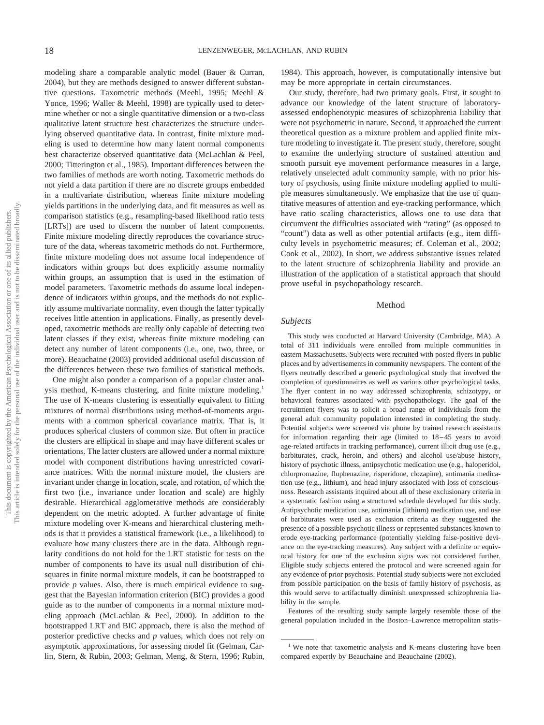modeling share a comparable analytic model (Bauer & Curran, 2004), but they are methods designed to answer different substantive questions. Taxometric methods (Meehl, 1995; Meehl & Yonce, 1996; Waller & Meehl, 1998) are typically used to determine whether or not a single quantitative dimension or a two-class qualitative latent structure best characterizes the structure underlying observed quantitative data. In contrast, finite mixture modeling is used to determine how many latent normal components best characterize observed quantitative data (McLachlan & Peel, 2000; Titterington et al., 1985). Important differences between the two families of methods are worth noting. Taxometric methods do not yield a data partition if there are no discrete groups embedded in a multivariate distribution, whereas finite mixture modeling yields partitions in the underlying data, and fit measures as well as comparison statistics (e.g., resampling-based likelihood ratio tests [LRTs]) are used to discern the number of latent components. Finite mixture modeling directly reproduces the covariance structure of the data, whereas taxometric methods do not. Furthermore, finite mixture modeling does not assume local independence of indicators within groups but does explicitly assume normality within groups, an assumption that is used in the estimation of model parameters. Taxometric methods do assume local independence of indicators within groups, and the methods do not explicitly assume multivariate normality, even though the latter typically receives little attention in applications. Finally, as presently developed, taxometric methods are really only capable of detecting two latent classes if they exist, whereas finite mixture modeling can detect any number of latent components (i.e., one, two, three, or more). Beauchaine (2003) provided additional useful discussion of the differences between these two families of statistical methods.

One might also ponder a comparison of a popular cluster analysis method, K-means clustering, and finite mixture modeling.<sup>1</sup> The use of K-means clustering is essentially equivalent to fitting mixtures of normal distributions using method-of-moments arguments with a common spherical covariance matrix. That is, it produces spherical clusters of common size. But often in practice the clusters are elliptical in shape and may have different scales or orientations. The latter clusters are allowed under a normal mixture model with component distributions having unrestricted covariance matrices. With the normal mixture model, the clusters are invariant under change in location, scale, and rotation, of which the first two (i.e., invariance under location and scale) are highly desirable. Hierarchical agglomerative methods are considerably dependent on the metric adopted. A further advantage of finite mixture modeling over K-means and hierarchical clustering methods is that it provides a statistical framework (i.e., a likelihood) to evaluate how many clusters there are in the data. Although regularity conditions do not hold for the LRT statistic for tests on the number of components to have its usual null distribution of chisquares in finite normal mixture models, it can be bootstrapped to provide *p* values. Also, there is much empirical evidence to suggest that the Bayesian information criterion (BIC) provides a good guide as to the number of components in a normal mixture modeling approach (McLachlan & Peel, 2000). In addition to the bootstrapped LRT and BIC approach, there is also the method of posterior predictive checks and *p* values, which does not rely on asymptotic approximations, for assessing model fit (Gelman, Carlin, Stern, & Rubin, 2003; Gelman, Meng, & Stern, 1996; Rubin, 1984). This approach, however, is computationally intensive but may be more appropriate in certain circumstances.

Our study, therefore, had two primary goals. First, it sought to advance our knowledge of the latent structure of laboratoryassessed endophenotypic measures of schizophrenia liability that were not psychometric in nature. Second, it approached the current theoretical question as a mixture problem and applied finite mixture modeling to investigate it. The present study, therefore, sought to examine the underlying structure of sustained attention and smooth pursuit eye movement performance measures in a large, relatively unselected adult community sample, with no prior history of psychosis, using finite mixture modeling applied to multiple measures simultaneously. We emphasize that the use of quantitative measures of attention and eye-tracking performance, which have ratio scaling characteristics, allows one to use data that circumvent the difficulties associated with "rating" (as opposed to "count") data as well as other potential artifacts (e.g., item difficulty levels in psychometric measures; cf. Coleman et al., 2002; Cook et al., 2002). In short, we address substantive issues related to the latent structure of schizophrenia liability and provide an illustration of the application of a statistical approach that should prove useful in psychopathology research.

# Method

# *Subjects*

This study was conducted at Harvard University (Cambridge, MA). A total of 311 individuals were enrolled from multiple communities in eastern Massachusetts. Subjects were recruited with posted flyers in public places and by advertisements in community newspapers. The content of the flyers neutrally described a generic psychological study that involved the completion of questionnaires as well as various other psychological tasks. The flyer content in no way addressed schizophrenia, schizotypy, or behavioral features associated with psychopathology. The goal of the recruitment flyers was to solicit a broad range of individuals from the general adult community population interested in completing the study. Potential subjects were screened via phone by trained research assistants for information regarding their age (limited to 18 – 45 years to avoid age-related artifacts in tracking performance), current illicit drug use (e.g., barbiturates, crack, heroin, and others) and alcohol use/abuse history, history of psychotic illness, antipsychotic medication use (e.g., haloperidol, chlorpromazine, fluphenazine, risperidone, clozapine), antimania medication use (e.g., lithium), and head injury associated with loss of consciousness. Research assistants inquired about all of these exclusionary criteria in a systematic fashion using a structured schedule developed for this study. Antipsychotic medication use, antimania (lithium) medication use, and use of barbiturates were used as exclusion criteria as they suggested the presence of a possible psychotic illness or represented substances known to erode eye-tracking performance (potentially yielding false-positive deviance on the eye-tracking measures). Any subject with a definite or equivocal history for one of the exclusion signs was not considered further. Eligible study subjects entered the protocol and were screened again for any evidence of prior psychosis. Potential study subjects were not excluded from possible participation on the basis of family history of psychosis, as this would serve to artifactually diminish unexpressed schizophrenia liability in the sample.

Features of the resulting study sample largely resemble those of the general population included in the Boston–Lawrence metropolitan statis-

<sup>&</sup>lt;sup>1</sup> We note that taxometric analysis and K-means clustering have been compared expertly by Beauchaine and Beauchaine (2002).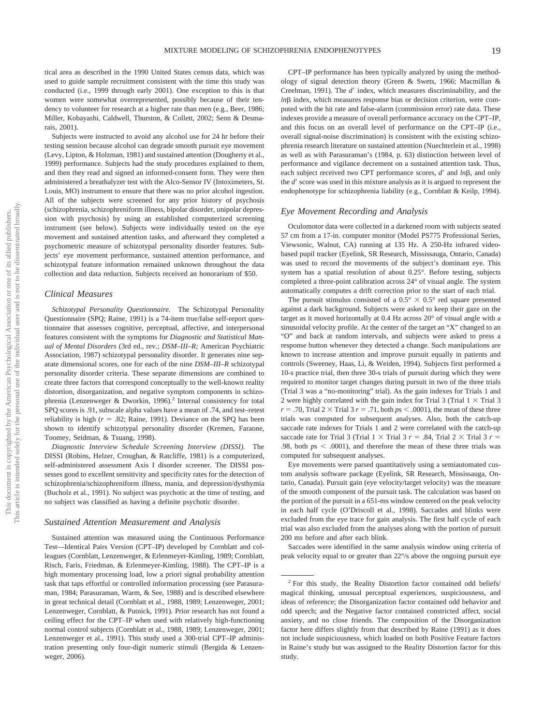tical area as described in the 1990 United States census data, which was used to guide sample recruitment consistent with the time this study was conducted (i.e., 1999 through early 2001). One exception to this is that women were somewhat overrepresented, possibly because of their tendency to volunteer for research at a higher rate than men (e.g., Beer, 1986; Miller, Kobayashi, Caldwell, Thurston, & Collett, 2002; Senn & Desmarais, 2001).

Subjects were instructed to avoid any alcohol use for 24 hr before their testing session because alcohol can degrade smooth pursuit eye movement (Levy, Lipton, & Holzman, 1981) and sustained attention (Dougherty et al., 1999) performance. Subjects had the study procedures explained to them, and then they read and signed an informed-consent form. They were then administered a breathalyzer test with the Alco-Sensor IV (Intoximeters, St. Louis, MO) instrument to ensure that there was no prior alcohol ingestion. All of the subjects were screened for any prior history of psychosis (schizophrenia, schizophreniform illness, bipolar disorder, unipolar depression with psychosis) by using an established computerized screening instrument (see below). Subjects were individually tested on the eye movement and sustained attention tasks, and afterward they completed a psychometric measure of schizotypal personality disorder features. Subjects' eye movement performance, sustained attention performance, and schizotypal feature information remained unknown throughout the data collection and data reduction. Subjects received an honorarium of \$50.

#### *Clinical Measures*

*Schizotypal Personality Questionnaire.* The Schizotypal Personality Questionnaire (SPQ; Raine, 1991) is a 74-item true/false self-report questionnaire that assesses cognitive, perceptual, affective, and interpersonal features consistent with the symptoms for *Diagnostic and Statistical Manual of Mental Disorders* (3rd ed., rev.; *DSM–III–R;* American Psychiatric Association, 1987) schizotypal personality disorder. It generates nine separate dimensional scores, one for each of the nine *DSM–III–R* schizotypal personality disorder criteria. These separate dimensions are combined to create three factors that correspond conceptually to the well-known reality distortion, disorganization, and negative symptom components in schizophrenia (Lenzenweger & Dworkin, 1996).<sup>2</sup> Internal consistency for total SPQ scores is .91, subscale alpha values have a mean of .74, and test–retest reliability is high  $(r = .82;$  Raine, 1991). Deviance on the SPQ has been shown to identify schizotypal personality disorder (Kremen, Faraone, Toomey, Seidman, & Tsuang, 1998).

*Diagnostic Interview Schedule Screening Interview (DISSI).* The DISSI (Robins, Helzer, Croughan, & Ratcliffe, 1981) is a computerized, self-administered assessment Axis I disorder screener. The DISSI possesses good to excellent sensitivity and specificity rates for the detection of schizophrenia/schizophreniform illness, mania, and depression/dysthymia (Bucholz et al., 1991). No subject was psychotic at the time of testing, and no subject was classified as having a definite psychotic disorder.

# *Sustained Attention Measurement and Analysis*

Sustained attention was measured using the Continuous Performance Test—Identical Pairs Version (CPT–IP) developed by Cornblatt and colleagues (Cornblatt, Lenzenweger, & Erlenmeyer-Kimling, 1989; Cornblatt, Risch, Faris, Friedman, & Erlenmeyer-Kimling, 1988). The CPT–IP is a high momentary processing load, low a priori signal probability attention task that taps effortful or controlled information processing (see Parasuraman, 1984; Parasuraman, Warm, & See, 1988) and is described elsewhere in great technical detail (Cornblatt et al., 1988, 1989; Lenzenweger, 2001; Lenzenweger, Cornblatt, & Putnick, 1991). Prior research has not found a ceiling effect for the CPT–IP when used with relatively high-functioning normal control subjects (Cornblatt et al., 1988, 1989; Lenzenweger, 2001; Lenzenweger et al., 1991). This study used a 300-trial CPT–IP administration presenting only four-digit numeric stimuli (Bergida & Lenzenweger, 2006).

CPT–IP performance has been typically analyzed by using the methodology of signal detection theory (Green & Swets, 1966; Macmillan & Creelman, 1991). The *d'* index, which measures discriminability, and the  $ln\beta$  index, which measures response bias or decision criterion, were computed with the hit rate and false-alarm (commission error) rate data. These indexes provide a measure of overall performance accuracy on the CPT–IP, and this focus on an overall level of performance on the CPT–IP (i.e., overall signal-noise discrimination) is consistent with the existing schizophrenia research literature on sustained attention (Nuechterlein et al., 1998) as well as with Parasuraman's (1984, p. 63) distinction between level of performance and vigilance decrement on a sustained attention task. Thus, each subject received two CPT performance scores,  $d'$  and  $ln\beta$ , and only the *d'* score was used in this mixture analysis as it is argued to represent the endophenotype for schizophrenia liability (e.g., Cornblatt & Keilp, 1994).

#### *Eye Movement Recording and Analysis*

Oculomotor data were collected in a darkened room with subjects seated 57 cm from a 17-in. computer monitor (Model PS775 Professional Series, Viewsonic, Walnut, CA) running at 135 Hz. A 250-Hz infrared videobased pupil tracker (Eyelink, SR Research, Mississauga, Ontario, Canada) was used to record the movements of the subject's dominant eye. This system has a spatial resolution of about 0.25°. Before testing, subjects completed a three-point calibration across 24° of visual angle. The system automatically computes a drift correction prior to the start of each trial.

The pursuit stimulus consisted of a  $0.5^{\circ} \times 0.5^{\circ}$  red square presented against a dark background. Subjects were asked to keep their gaze on the target as it moved horizontally at 0.4 Hz across 20° of visual angle with a sinusoidal velocity profile. At the center of the target an "X" changed to an "O" and back at random intervals, and subjects were asked to press a response button whenever they detected a change. Such manipulations are known to increase attention and improve pursuit equally in patients and controls (Sweeney, Haas, Li, & Weiden, 1994). Subjects first performed a 10-s practice trial, then three 30-s trials of pursuit during which they were required to monitor target changes during pursuit in two of the three trials (Trial 3 was a "no-monitoring" trial). As the gain indexes for Trials 1 and 2 were highly correlated with the gain index for Trial 3 (Trial  $1 \times$  Trial 3  $r = .70$ , Trial 2  $\times$  Trial 3  $r = .71$ , both  $ps < .0001$ ), the mean of these three trials was computed for subsequent analyses. Also, both the catch-up saccade rate indexes for Trials 1 and 2 were correlated with the catch-up saccade rate for Trial 3 (Trial 1  $\times$  Trial 3  $r = .84$ , Trial 2  $\times$  Trial 3  $r =$ .98, both  $ps < .0001$ ), and therefore the mean of these three trials was computed for subsequent analyses.

Eye movements were parsed quantitatively using a semiautomated custom analysis software package (Eyelink, SR Research, Mississauga, Ontario, Canada). Pursuit gain (eye velocity/target velocity) was the measure of the smooth component of the pursuit task. The calculation was based on the portion of the pursuit in a 651-ms window centered on the peak velocity in each half cycle (O'Driscoll et al., 1998). Saccades and blinks were excluded from the eye trace for gain analysis. The first half cycle of each trial was also excluded from the analyses along with the portion of pursuit 200 ms before and after each blink.

Saccades were identified in the same analysis window using criteria of peak velocity equal to or greater than 22°/s above the ongoing pursuit eye

<sup>&</sup>lt;sup>2</sup> For this study, the Reality Distortion factor contained odd beliefs/ magical thinking, unusual perceptual experiences, suspiciousness, and ideas of reference; the Disorganization factor contained odd behavior and odd speech; and the Negative factor contained constricted affect, social anxiety, and no close friends. The composition of the Disorganization factor here differs slightly from that described by Raine (1991) as it does not include suspiciousness, which loaded on both Positive Feature factors in Raine's study but was assigned to the Reality Distortion factor for this study.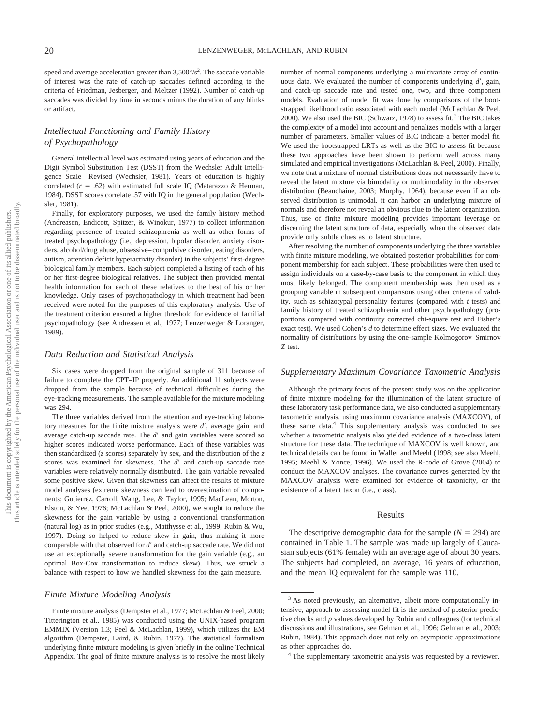This article is intended solely for the personal use of the individual user and is not to be disseminated broadly. This article is intended solely for the personal use of the individual user and is not to be disseminated broadly.This document is copyrighted by the American Psychological Association or one of its allied publishers. This document is copyrighted by the American Psychological Association or one of its allied publishers.

speed and average acceleration greater than  $3,500^{\circ}/s^2$ . The saccade variable of interest was the rate of catch-up saccades defined according to the criteria of Friedman, Jesberger, and Meltzer (1992). Number of catch-up saccades was divided by time in seconds minus the duration of any blinks or artifact.

# *Intellectual Functioning and Family History of Psychopathology*

General intellectual level was estimated using years of education and the Digit Symbol Substitution Test (DSST) from the Wechsler Adult Intelligence Scale—Revised (Wechsler, 1981). Years of education is highly correlated  $(r = .62)$  with estimated full scale IQ (Matarazzo & Herman, 1984). DSST scores correlate .57 with IQ in the general population (Wechsler, 1981).

Finally, for exploratory purposes, we used the family history method (Andreasen, Endicott, Spitzer, & Winokur, 1977) to collect information regarding presence of treated schizophrenia as well as other forms of treated psychopathology (i.e., depression, bipolar disorder, anxiety disorders, alcohol/drug abuse, obsessive– compulsive disorder, eating disorders, autism, attention deficit hyperactivity disorder) in the subjects' first-degree biological family members. Each subject completed a listing of each of his or her first-degree biological relatives. The subject then provided mental health information for each of these relatives to the best of his or her knowledge. Only cases of psychopathology in which treatment had been received were noted for the purposes of this exploratory analysis. Use of the treatment criterion ensured a higher threshold for evidence of familial psychopathology (see Andreasen et al., 1977; Lenzenweger & Loranger, 1989).

#### *Data Reduction and Statistical Analysis*

Six cases were dropped from the original sample of 311 because of failure to complete the CPT–IP properly. An additional 11 subjects were dropped from the sample because of technical difficulties during the eye-tracking measurements. The sample available for the mixture modeling was 294.

The three variables derived from the attention and eye-tracking laboratory measures for the finite mixture analysis were d', average gain, and average catch-up saccade rate. The *d'* and gain variables were scored so higher scores indicated worse performance. Each of these variables was then standardized (*z* scores) separately by sex, and the distribution of the *z* scores was examined for skewness. The  $d'$  and catch-up saccade rate variables were relatively normally distributed. The gain variable revealed some positive skew. Given that skewness can affect the results of mixture model analyses (extreme skewness can lead to overestimation of components; Gutierrez, Carroll, Wang, Lee, & Taylor, 1995; MacLean, Morton, Elston, & Yee, 1976; McLachlan & Peel, 2000), we sought to reduce the skewness for the gain variable by using a conventional transformation (natural log) as in prior studies (e.g., Matthysse et al., 1999; Rubin & Wu, 1997). Doing so helped to reduce skew in gain, thus making it more comparable with that observed for  $d'$  and catch-up saccade rate. We did not use an exceptionally severe transformation for the gain variable (e.g., an optimal Box-Cox transformation to reduce skew). Thus, we struck a balance with respect to how we handled skewness for the gain measure.

#### *Finite Mixture Modeling Analysis*

Finite mixture analysis (Dempster et al., 1977; McLachlan & Peel, 2000; Titterington et al., 1985) was conducted using the UNIX-based program EMMIX (Version 1.3; Peel & McLachlan, 1999), which utilizes the EM algorithm (Dempster, Laird, & Rubin, 1977). The statistical formalism underlying finite mixture modeling is given briefly in the online Technical Appendix. The goal of finite mixture analysis is to resolve the most likely

number of normal components underlying a multivariate array of continuous data. We evaluated the number of components underlying d', gain, and catch-up saccade rate and tested one, two, and three component models. Evaluation of model fit was done by comparisons of the bootstrapped likelihood ratio associated with each model (McLachlan & Peel, 2000). We also used the BIC (Schwarz, 1978) to assess fit.<sup>3</sup> The BIC takes the complexity of a model into account and penalizes models with a larger number of parameters. Smaller values of BIC indicate a better model fit. We used the bootstrapped LRTs as well as the BIC to assess fit because these two approaches have been shown to perform well across many simulated and empirical investigations (McLachlan & Peel, 2000). Finally, we note that a mixture of normal distributions does not necessarily have to reveal the latent mixture via bimodality or multimodality in the observed distribution (Beauchaine, 2003; Murphy, 1964), because even if an observed distribution is unimodal, it can harbor an underlying mixture of normals and therefore not reveal an obvious clue to the latent organization. Thus, use of finite mixture modeling provides important leverage on discerning the latent structure of data, especially when the observed data provide only subtle clues as to latent structure.

After resolving the number of components underlying the three variables with finite mixture modeling, we obtained posterior probabilities for component membership for each subject. These probabilities were then used to assign individuals on a case-by-case basis to the component in which they most likely belonged. The component membership was then used as a grouping variable in subsequent comparisons using other criteria of validity, such as schizotypal personality features (compared with *t* tests) and family history of treated schizophrenia and other psychopathology (proportions compared with continuity corrected chi-square test and Fisher's exact test). We used Cohen's *d* to determine effect sizes. We evaluated the normality of distributions by using the one-sample Kolmogorov–Smirnov *Z* test.

#### *Supplementary Maximum Covariance Taxometric Analysis*

Although the primary focus of the present study was on the application of finite mixture modeling for the illumination of the latent structure of these laboratory task performance data, we also conducted a supplementary taxometric analysis, using maximum covariance analysis (MAXCOV), of these same data.<sup>4</sup> This supplementary analysis was conducted to see whether a taxometric analysis also yielded evidence of a two-class latent structure for these data. The technique of MAXCOV is well known, and technical details can be found in Waller and Meehl (1998; see also Meehl, 1995; Meehl & Yonce, 1996). We used the R-code of Grove (2004) to conduct the MAXCOV analyses. The covariance curves generated by the MAXCOV analysis were examined for evidence of taxonicity, or the existence of a latent taxon (i.e., class).

#### Results

The descriptive demographic data for the sample  $(N = 294)$  are contained in Table 1. The sample was made up largely of Caucasian subjects (61% female) with an average age of about 30 years. The subjects had completed, on average, 16 years of education, and the mean IQ equivalent for the sample was 110.

<sup>&</sup>lt;sup>3</sup> As noted previously, an alternative, albeit more computationally intensive, approach to assessing model fit is the method of posterior predictive checks and *p* values developed by Rubin and colleagues (for technical discussions and illustrations, see Gelman et al., 1996; Gelman et al., 2003; Rubin, 1984). This approach does not rely on asymptotic approximations as other approaches do.

<sup>4</sup> The supplementary taxometric analysis was requested by a reviewer.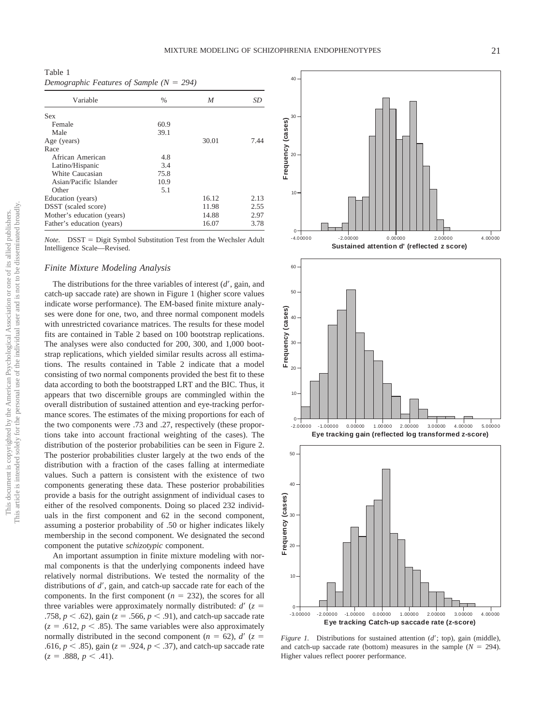Table 1 *Demographic Features of Sample (N = 294)* 

| $\%$ | M     | SD   |
|------|-------|------|
|      |       |      |
| 60.9 |       |      |
| 39.1 |       |      |
|      | 30.01 | 7.44 |
|      |       |      |
| 4.8  |       |      |
| 3.4  |       |      |
| 75.8 |       |      |
| 10.9 |       |      |
| 5.1  |       |      |
|      | 16.12 | 2.13 |
|      | 11.98 | 2.55 |
|      | 14.88 | 2.97 |
|      | 16.07 | 3.78 |
|      |       |      |

*Note.* DSST = Digit Symbol Substitution Test from the Wechsler Adult Intelligence Scale—Revised.

# *Finite Mixture Modeling Analysis*

The distributions for the three variables of interest  $(d', gain, and)$ catch-up saccade rate) are shown in Figure 1 (higher score values indicate worse performance). The EM-based finite mixture analyses were done for one, two, and three normal component models with unrestricted covariance matrices. The results for these model fits are contained in Table 2 based on 100 bootstrap replications. The analyses were also conducted for 200, 300, and 1,000 bootstrap replications, which yielded similar results across all estimations. The results contained in Table 2 indicate that a model consisting of two normal components provided the best fit to these data according to both the bootstrapped LRT and the BIC. Thus, it appears that two discernible groups are commingled within the overall distribution of sustained attention and eye-tracking performance scores. The estimates of the mixing proportions for each of the two components were .73 and .27, respectively (these proportions take into account fractional weighting of the cases). The distribution of the posterior probabilities can be seen in Figure 2. The posterior probabilities cluster largely at the two ends of the distribution with a fraction of the cases falling at intermediate values. Such a pattern is consistent with the existence of two components generating these data. These posterior probabilities provide a basis for the outright assignment of individual cases to either of the resolved components. Doing so placed 232 individuals in the first component and 62 in the second component, assuming a posterior probability of .50 or higher indicates likely membership in the second component. We designated the second component the putative *schizotypic* component.

An important assumption in finite mixture modeling with normal components is that the underlying components indeed have relatively normal distributions. We tested the normality of the distributions of d', gain, and catch-up saccade rate for each of the components. In the first component  $(n = 232)$ , the scores for all three variables were approximately normally distributed:  $d'(z)$ .758,  $p < .62$ ), gain ( $z = .566$ ,  $p < .91$ ), and catch-up saccade rate  $(z = .612, p < .85)$ . The same variables were also approximately normally distributed in the second component  $(n = 62)$ , *d'*  $(z =$ .616,  $p < .85$ ), gain ( $z = .924$ ,  $p < .37$ ), and catch-up saccade rate  $(z = .888, p < .41).$ 



*Figure 1*. Distributions for sustained attention (d'; top), gain (middle), and catch-up saccade rate (bottom) measures in the sample  $(N = 294)$ . Higher values reflect poorer performance.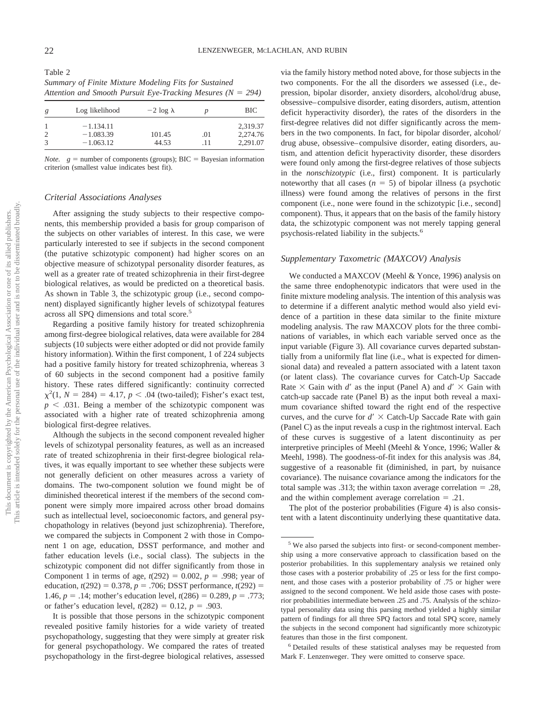Table 2 *Summary of Finite Mixture Modeling Fits for Sustained Attention and Smooth Pursuit Eye-Tracking Mesures (N 294)*

| Log likelihood | $-2 \log \lambda$ |     | BIC      |
|----------------|-------------------|-----|----------|
| $-1.134.11$    |                   |     | 2,319.37 |
| $-1.083.39$    | 101.45            | .01 | 2,274.76 |
| $-1.063.12$    | 44.53             | .11 | 2,291.07 |

*Note.*  $g =$  number of components (groups);  $BIC =$  Bayesian information criterion (smallest value indicates best fit).

#### *Criterial Associations Analyses*

After assigning the study subjects to their respective components, this membership provided a basis for group comparison of the subjects on other variables of interest. In this case, we were particularly interested to see if subjects in the second component (the putative schizotypic component) had higher scores on an objective measure of schizotypal personality disorder features, as well as a greater rate of treated schizophrenia in their first-degree biological relatives, as would be predicted on a theoretical basis. As shown in Table 3, the schizotypic group (i.e., second component) displayed significantly higher levels of schizotypal features across all SPQ dimensions and total score.5

Regarding a positive family history for treated schizophrenia among first-degree biological relatives, data were available for 284 subjects (10 subjects were either adopted or did not provide family history information). Within the first component, 1 of 224 subjects had a positive family history for treated schizophrenia, whereas 3 of 60 subjects in the second component had a positive family history. These rates differed significantly: continuity corrected  $\chi^2(1, N = 284) = 4.17, p < .04$  (two-tailed); Fisher's exact test,  $p < .031$ . Being a member of the schizotypic component was associated with a higher rate of treated schizophrenia among biological first-degree relatives.

Although the subjects in the second component revealed higher levels of schizotypal personality features, as well as an increased rate of treated schizophrenia in their first-degree biological relatives, it was equally important to see whether these subjects were not generally deficient on other measures across a variety of domains. The two-component solution we found might be of diminished theoretical interest if the members of the second component were simply more impaired across other broad domains such as intellectual level, socioeconomic factors, and general psychopathology in relatives (beyond just schizophrenia). Therefore, we compared the subjects in Component 2 with those in Component 1 on age, education, DSST performance, and mother and father education levels (i.e., social class). The subjects in the schizotypic component did not differ significantly from those in Component 1 in terms of age,  $t(292) = 0.002$ ,  $p = .998$ ; year of education,  $t(292) = 0.378$ ,  $p = .706$ ; DSST performance,  $t(292) =$ 1.46,  $p = .14$ ; mother's education level,  $t(286) = 0.289$ ,  $p = .773$ ; or father's education level,  $t(282) = 0.12$ ,  $p = .903$ .

via the family history method noted above, for those subjects in the two components. For the all the disorders we assessed (i.e., depression, bipolar disorder, anxiety disorders, alcohol/drug abuse, obsessive– compulsive disorder, eating disorders, autism, attention deficit hyperactivity disorder), the rates of the disorders in the first-degree relatives did not differ significantly across the members in the two components. In fact, for bipolar disorder, alcohol/ drug abuse, obsessive– compulsive disorder, eating disorders, autism, and attention deficit hyperactivity disorder, these disorders were found only among the first-degree relatives of those subjects in the *nonschizotypic* (i.e., first) component. It is particularly noteworthy that all cases  $(n = 5)$  of bipolar illness (a psychotic illness) were found among the relatives of persons in the first component (i.e., none were found in the schizotypic [i.e., second] component). Thus, it appears that on the basis of the family history data, the schizotypic component was not merely tapping general psychosis-related liability in the subjects.6

# *Supplementary Taxometric (MAXCOV) Analysis*

We conducted a MAXCOV (Meehl & Yonce, 1996) analysis on the same three endophenotypic indicators that were used in the finite mixture modeling analysis. The intention of this analysis was to determine if a different analytic method would also yield evidence of a partition in these data similar to the finite mixture modeling analysis. The raw MAXCOV plots for the three combinations of variables, in which each variable served once as the input variable (Figure 3). All covariance curves departed substantially from a uniformily flat line (i.e., what is expected for dimensional data) and revealed a pattern associated with a latent taxon (or latent class). The covariance curves for Catch-Up Saccade Rate  $\times$  Gain with *d'* as the input (Panel A) and  $d' \times$  Gain with catch-up saccade rate (Panel B) as the input both reveal a maximum covariance shifted toward the right end of the respective curves, and the curve for  $d' \times$  Catch-Up Saccade Rate with gain (Panel C) as the input reveals a cusp in the rightmost interval. Each of these curves is suggestive of a latent discontinuity as per interpretive principles of Meehl (Meehl & Yonce, 1996; Waller & Meehl, 1998). The goodness-of-fit index for this analysis was .84, suggestive of a reasonable fit (diminished, in part, by nuisance covariance). The nuisance covariance among the indicators for the total sample was .313; the within taxon average correlation  $= .28$ , and the within complement average correlation  $= .21$ .

The plot of the posterior probabilities (Figure 4) is also consistent with a latent discontinuity underlying these quantitative data.

It is possible that those persons in the schizotypic component revealed positive family histories for a wide variety of treated psychopathology, suggesting that they were simply at greater risk for general psychopathology. We compared the rates of treated psychopathology in the first-degree biological relatives, assessed

<sup>5</sup> We also parsed the subjects into first- or second-component membership using a more conservative approach to classification based on the posterior probabilities. In this supplementary analysis we retained only those cases with a posterior probability of .25 or less for the first component, and those cases with a posterior probability of .75 or higher were assigned to the second component. We held aside those cases with posterior probabilities intermediate between .25 and .75. Analysis of the schizotypal personality data using this parsing method yielded a highly similar pattern of findings for all three SPQ factors and total SPQ score, namely the subjects in the second component had significantly more schizotypic features than those in the first component.

<sup>6</sup> Detailed results of these statistical analyses may be requested from Mark F. Lenzenweger. They were omitted to conserve space.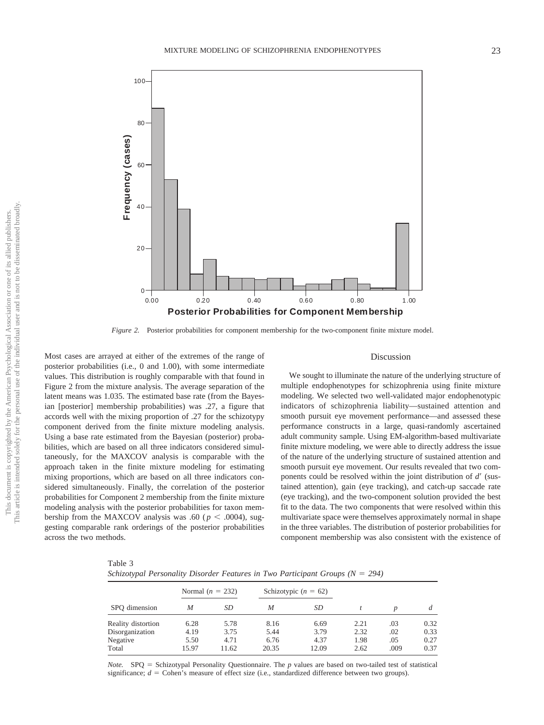

*Figure 2.* Posterior probabilities for component membership for the two-component finite mixture model.

Most cases are arrayed at either of the extremes of the range of posterior probabilities (i.e., 0 and 1.00), with some intermediate values. This distribution is roughly comparable with that found in Figure 2 from the mixture analysis. The average separation of the latent means was 1.035. The estimated base rate (from the Bayesian [posterior] membership probabilities) was .27, a figure that accords well with the mixing proportion of .27 for the schizotypy component derived from the finite mixture modeling analysis. Using a base rate estimated from the Bayesian (posterior) probabilities, which are based on all three indicators considered simultaneously, for the MAXCOV analysis is comparable with the approach taken in the finite mixture modeling for estimating mixing proportions, which are based on all three indicators considered simultaneously. Finally, the correlation of the posterior probabilities for Component 2 membership from the finite mixture modeling analysis with the posterior probabilities for taxon membership from the MAXCOV analysis was .60 ( $p < .0004$ ), suggesting comparable rank orderings of the posterior probabilities across the two methods.

#### Discussion

We sought to illuminate the nature of the underlying structure of multiple endophenotypes for schizophrenia using finite mixture modeling. We selected two well-validated major endophenotypic indicators of schizophrenia liability—sustained attention and smooth pursuit eye movement performance—and assessed these performance constructs in a large, quasi-randomly ascertained adult community sample. Using EM-algorithm-based multivariate finite mixture modeling, we were able to directly address the issue of the nature of the underlying structure of sustained attention and smooth pursuit eye movement. Our results revealed that two components could be resolved within the joint distribution of d' (sustained attention), gain (eye tracking), and catch-up saccade rate (eye tracking), and the two-component solution provided the best fit to the data. The two components that were resolved within this multivariate space were themselves approximately normal in shape in the three variables. The distribution of posterior probabilities for component membership was also consistent with the existence of

Table 3

| Schizotypal Personality Disorder Features in Two Participant Groups ( $N = 294$ ) |  |
|-----------------------------------------------------------------------------------|--|
|-----------------------------------------------------------------------------------|--|

|                    |       | Normal $(n = 232)$ |       | Schizotypic $(n = 62)$ |      |      |      |
|--------------------|-------|--------------------|-------|------------------------|------|------|------|
| SPO dimension      | M     | SD                 | M     | SD                     |      |      |      |
| Reality distortion | 6.28  | 5.78               | 8.16  | 6.69                   | 2.21 | .03  | 0.32 |
| Disorganization    | 4.19  | 3.75               | 5.44  | 3.79                   | 2.32 | .02  | 0.33 |
| Negative           | 5.50  | 4.71               | 6.76  | 4.37                   | 1.98 | .05  | 0.27 |
| Total              | 15.97 | 11.62              | 20.35 | 12.09                  | 2.62 | .009 | 0.37 |

*Note.* SPQ = Schizotypal Personality Questionnaire. The *p* values are based on two-tailed test of statistical significance;  $d =$  Cohen's measure of effect size (i.e., standardized difference between two groups).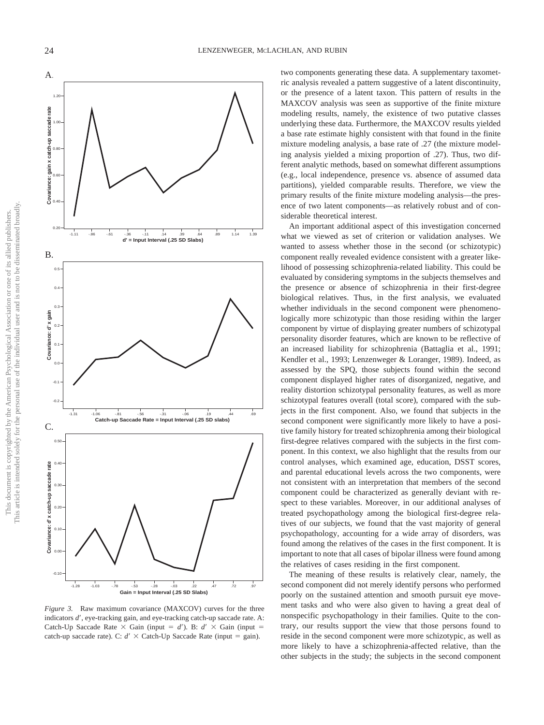This document is copyrighted by the American Psychological Association or one of its allied publishers. This article is intended solely for the personal use of the individual user and is not to be disseminated broadly.

This article is intended solely for the personal use of the individual user and is not to be disseminated broadly. This document is copyrighted by the American Psychological Association or one of its allied publishers



*Figure 3.* Raw maximum covariance (MAXCOV) curves for the three indicators d', eye-tracking gain, and eye-tracking catch-up saccade rate. A: Catch-Up Saccade Rate  $\times$  Gain (input = *d'*). B:  $d' \times$  Gain (input = catch-up saccade rate). C:  $d' \times$  Catch-Up Saccade Rate (input = gain).

two components generating these data. A supplementary taxometric analysis revealed a pattern suggestive of a latent discontinuity, or the presence of a latent taxon. This pattern of results in the MAXCOV analysis was seen as supportive of the finite mixture modeling results, namely, the existence of two putative classes underlying these data. Furthermore, the MAXCOV results yielded a base rate estimate highly consistent with that found in the finite mixture modeling analysis, a base rate of .27 (the mixture modeling analysis yielded a mixing proportion of .27). Thus, two different analytic methods, based on somewhat different assumptions (e.g., local independence, presence vs. absence of assumed data partitions), yielded comparable results. Therefore, we view the primary results of the finite mixture modeling analysis—the presence of two latent components—as relatively robust and of considerable theoretical interest.

An important additional aspect of this investigation concerned what we viewed as set of criterion or validation analyses. We wanted to assess whether those in the second (or schizotypic) component really revealed evidence consistent with a greater likelihood of possessing schizophrenia-related liability. This could be evaluated by considering symptoms in the subjects themselves and the presence or absence of schizophrenia in their first-degree biological relatives. Thus, in the first analysis, we evaluated whether individuals in the second component were phenomenologically more schizotypic than those residing within the larger component by virtue of displaying greater numbers of schizotypal personality disorder features, which are known to be reflective of an increased liability for schizophrenia (Battaglia et al., 1991; Kendler et al., 1993; Lenzenweger & Loranger, 1989). Indeed, as assessed by the SPQ, those subjects found within the second component displayed higher rates of disorganized, negative, and reality distortion schizotypal personality features, as well as more schizotypal features overall (total score), compared with the subjects in the first component. Also, we found that subjects in the second component were significantly more likely to have a positive family history for treated schizophrenia among their biological first-degree relatives compared with the subjects in the first component. In this context, we also highlight that the results from our control analyses, which examined age, education, DSST scores, and parental educational levels across the two components, were not consistent with an interpretation that members of the second component could be characterized as generally deviant with respect to these variables. Moreover, in our additional analyses of treated psychopathology among the biological first-degree relatives of our subjects, we found that the vast majority of general psychopathology, accounting for a wide array of disorders, was found among the relatives of the cases in the first component. It is important to note that all cases of bipolar illness were found among the relatives of cases residing in the first component.

The meaning of these results is relatively clear, namely, the second component did not merely identify persons who performed poorly on the sustained attention and smooth pursuit eye movement tasks and who were also given to having a great deal of nonspecific psychopathology in their families. Quite to the contrary, our results support the view that those persons found to reside in the second component were more schizotypic, as well as more likely to have a schizophrenia-affected relative, than the other subjects in the study; the subjects in the second component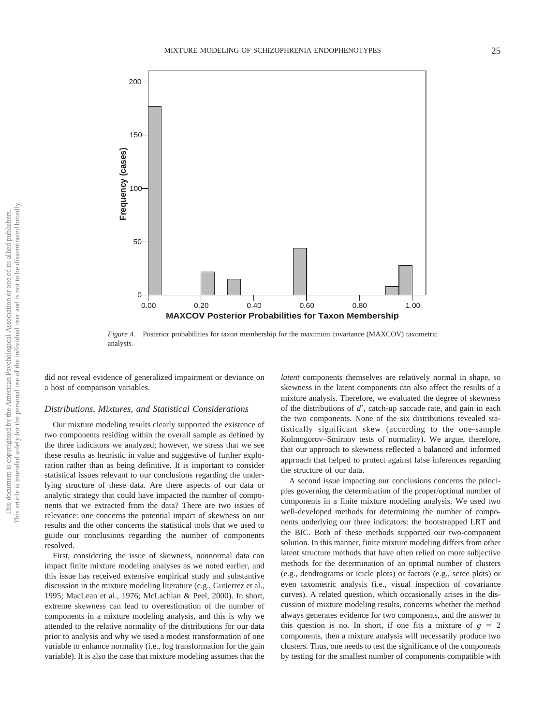

*Figure 4.* Posterior probabilities for taxon membership for the maximum covariance (MAXCOV) taxometric analysis.

did not reveal evidence of generalized impairment or deviance on a host of comparison variables.

# *Distributions, Mixtures, and Statistical Considerations*

Our mixture modeling results clearly supported the existence of two components residing within the overall sample as defined by the three indicators we analyzed; however, we stress that we see these results as heuristic in value and suggestive of further exploration rather than as being definitive. It is important to consider statistical issues relevant to our conclusions regarding the underlying structure of these data. Are there aspects of our data or analytic strategy that could have impacted the number of components that we extracted from the data? There are two issues of relevance: one concerns the potential impact of skewness on our results and the other concerns the statistical tools that we used to guide our conclusions regarding the number of components resolved.

First, considering the issue of skewness, nonnormal data can impact finite mixture modeling analyses as we noted earlier, and this issue has received extensive empirical study and substantive discussion in the mixture modeling literature (e.g., Gutierrez et al., 1995; MacLean et al., 1976; McLachlan & Peel, 2000). In short, extreme skewness can lead to overestimation of the number of components in a mixture modeling analysis, and this is why we attended to the relative normality of the distributions for our data prior to analysis and why we used a modest transformation of one variable to enhance normality (i.e., log transformation for the gain variable). It is also the case that mixture modeling assumes that the *latent* components themselves are relatively normal in shape, so skewness in the latent components can also affect the results of a mixture analysis. Therefore, we evaluated the degree of skewness of the distributions of d', catch-up saccade rate, and gain in each the two components. None of the six distributions revealed statistically significant skew (according to the one-sample Kolmogorov–Smirnov tests of normality). We argue, therefore, that our approach to skewness reflected a balanced and informed approach that helped to protect against false inferences regarding the structure of our data.

A second issue impacting our conclusions concerns the principles governing the determination of the proper/optimal number of components in a finite mixture modeling analysis. We used two well-developed methods for determining the number of components underlying our three indicators: the bootstrapped LRT and the BIC. Both of these methods supported our two-component solution. In this manner, finite mixture modeling differs from other latent structure methods that have often relied on more subjective methods for the determination of an optimal number of clusters (e.g., dendrograms or icicle plots) or factors (e.g., scree plots) or even taxometric analysis (i.e., visual inspection of covariance curves). A related question, which occasionally arises in the discussion of mixture modeling results, concerns whether the method always generates evidence for two components, and the answer to this question is no. In short, if one fits a mixture of  $g = 2$ components, then a mixture analysis will necessarily produce two clusters. Thus, one needs to test the significance of the components by testing for the smallest number of components compatible with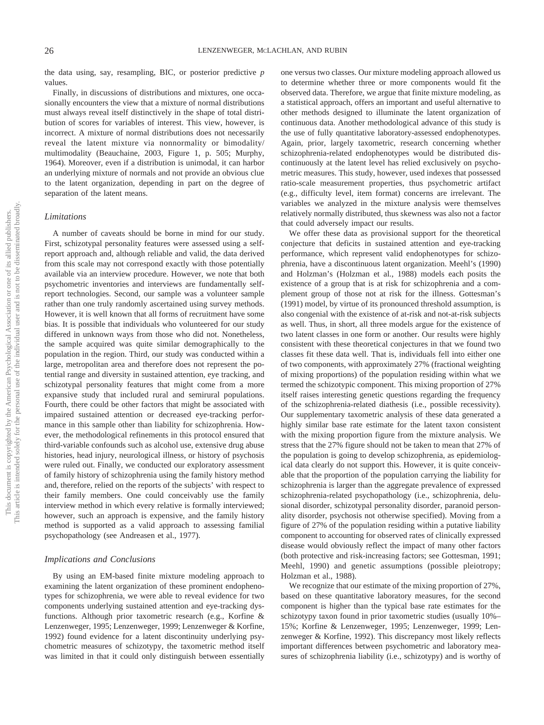the data using, say, resampling, BIC, or posterior predictive *p* values.

Finally, in discussions of distributions and mixtures, one occasionally encounters the view that a mixture of normal distributions must always reveal itself distinctively in the shape of total distribution of scores for variables of interest. This view, however, is incorrect. A mixture of normal distributions does not necessarily reveal the latent mixture via nonnormality or bimodality/ multimodality (Beauchaine, 2003, Figure 1, p. 505; Murphy, 1964). Moreover, even if a distribution is unimodal, it can harbor an underlying mixture of normals and not provide an obvious clue to the latent organization, depending in part on the degree of separation of the latent means.

#### *Limitations*

A number of caveats should be borne in mind for our study. First, schizotypal personality features were assessed using a selfreport approach and, although reliable and valid, the data derived from this scale may not correspond exactly with those potentially available via an interview procedure. However, we note that both psychometric inventories and interviews are fundamentally selfreport technologies. Second, our sample was a volunteer sample rather than one truly randomly ascertained using survey methods. However, it is well known that all forms of recruitment have some bias. It is possible that individuals who volunteered for our study differed in unknown ways from those who did not. Nonetheless, the sample acquired was quite similar demographically to the population in the region. Third, our study was conducted within a large, metropolitan area and therefore does not represent the potential range and diversity in sustained attention, eye tracking, and schizotypal personality features that might come from a more expansive study that included rural and semirural populations. Fourth, there could be other factors that might be associated with impaired sustained attention or decreased eye-tracking performance in this sample other than liability for schizophrenia. However, the methodological refinements in this protocol ensured that third-variable confounds such as alcohol use, extensive drug abuse histories, head injury, neurological illness, or history of psychosis were ruled out. Finally, we conducted our exploratory assessment of family history of schizophrenia using the family history method and, therefore, relied on the reports of the subjects' with respect to their family members. One could conceivably use the family interview method in which every relative is formally interviewed; however, such an approach is expensive, and the family history method is supported as a valid approach to assessing familial psychopathology (see Andreasen et al., 1977).

#### *Implications and Conclusions*

By using an EM-based finite mixture modeling approach to examining the latent organization of these prominent endophenotypes for schizophrenia, we were able to reveal evidence for two components underlying sustained attention and eye-tracking dysfunctions. Although prior taxometric research (e.g., Korfine & Lenzenweger, 1995; Lenzenweger, 1999; Lenzenweger & Korfine, 1992) found evidence for a latent discontinuity underlying psychometric measures of schizotypy, the taxometric method itself was limited in that it could only distinguish between essentially

one versus two classes. Our mixture modeling approach allowed us to determine whether three or more components would fit the observed data. Therefore, we argue that finite mixture modeling, as a statistical approach, offers an important and useful alternative to other methods designed to illuminate the latent organization of continuous data. Another methodological advance of this study is the use of fully quantitative laboratory-assessed endophenotypes. Again, prior, largely taxometric, research concerning whether schizophrenia-related endophenotypes would be distributed discontinuously at the latent level has relied exclusively on psychometric measures. This study, however, used indexes that possessed ratio-scale measurement properties, thus psychometric artifact (e.g., difficulty level, item format) concerns are irrelevant. The variables we analyzed in the mixture analysis were themselves relatively normally distributed, thus skewness was also not a factor that could adversely impact our results.

We offer these data as provisional support for the theoretical conjecture that deficits in sustained attention and eye-tracking performance, which represent valid endophenotypes for schizophrenia, have a discontinuous latent organization. Meehl's (1990) and Holzman's (Holzman et al., 1988) models each posits the existence of a group that is at risk for schizophrenia and a complement group of those not at risk for the illness. Gottesman's (1991) model, by virtue of its pronounced threshold assumption, is also congenial with the existence of at-risk and not-at-risk subjects as well. Thus, in short, all three models argue for the existence of two latent classes in one form or another. Our results were highly consistent with these theoretical conjectures in that we found two classes fit these data well. That is, individuals fell into either one of two components, with approximately 27% (fractional weighting of mixing proportions) of the population residing within what we termed the schizotypic component. This mixing proportion of 27% itself raises interesting genetic questions regarding the frequency of the schizophrenia-related diathesis (i.e., possible recessivity). Our supplementary taxometric analysis of these data generated a highly similar base rate estimate for the latent taxon consistent with the mixing proportion figure from the mixture analysis. We stress that the 27% figure should not be taken to mean that 27% of the population is going to develop schizophrenia, as epidemiological data clearly do not support this. However, it is quite conceivable that the proportion of the population carrying the liability for schizophrenia is larger than the aggregate prevalence of expressed schizophrenia-related psychopathology (i.e., schizophrenia, delusional disorder, schizotypal personality disorder, paranoid personality disorder, psychosis not otherwise specified). Moving from a figure of 27% of the population residing within a putative liability component to accounting for observed rates of clinically expressed disease would obviously reflect the impact of many other factors (both protective and risk-increasing factors; see Gottesman, 1991; Meehl, 1990) and genetic assumptions (possible pleiotropy; Holzman et al., 1988).

We recognize that our estimate of the mixing proportion of 27%, based on these quantitative laboratory measures, for the second component is higher than the typical base rate estimates for the schizotypy taxon found in prior taxometric studies (usually 10%– 15%; Korfine & Lenzenweger, 1995; Lenzenweger, 1999; Lenzenweger & Korfine, 1992). This discrepancy most likely reflects important differences between psychometric and laboratory measures of schizophrenia liability (i.e., schizotypy) and is worthy of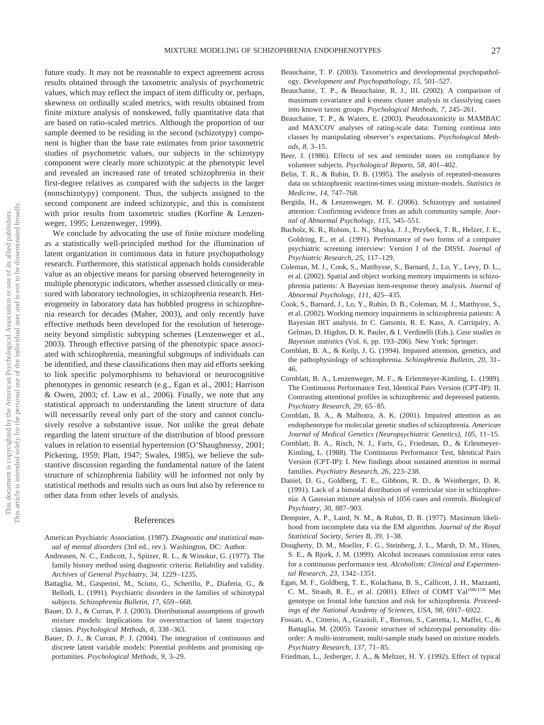future study. It may not be reasonable to expect agreement across results obtained through the taxometric analysis of psychometric values, which may reflect the impact of item difficulty or, perhaps, skewness on ordinally scaled metrics, with results obtained from finite mixture analysis of nonskewed, fully quantitative data that are based on ratio-scaled metrics. Although the proportion of our sample deemed to be residing in the second (schizotypy) component is higher than the base rate estimates from prior taxometric studies of psychometric values, our subjects in the schizotypy component were clearly more schizotypic at the phenotypic level and revealed an increased rate of treated schizophrenia in their first-degree relatives as compared with the subjects in the larger (nonschizotypy) component. Thus, the subjects assigned to the second component are indeed schizotypic, and this is consistent with prior results from taxometric studies (Korfine & Lenzenweger, 1995; Lenzenweger, 1999).

We conclude by advocating the use of finite mixture modeling as a statistically well-principled method for the illumination of latent organization in continuous data in future psychopathology research. Furthermore, this statistical approach holds considerable value as an objective means for parsing observed heterogeneity in multiple phenotypic indicators, whether assessed clinically or measured with laboratory technologies, in schizophrenia research. Heterogeneity in laboratory data has hobbled progress in schizophrenia research for decades (Maher, 2003), and only recently have effective methods been developed for the resolution of heterogeneity beyond simplistic subtyping schemes (Lenzenweger et al., 2003). Through effective parsing of the phenotypic space associated with schizophrenia, meaningful subgroups of individuals can be identified, and these classifications then may aid efforts seeking to link specific polymorphisms to behavioral or neurocognitive phenotypes in genomic research (e.g., Egan et al., 2001; Harrison & Owen, 2003; cf. Law et al., 2006). Finally, we note that any statistical approach to understanding the latent structure of data will necessarily reveal only part of the story and cannot conclusively resolve a substantive issue. Not unlike the great debate regarding the latent structure of the distribution of blood pressure values in relation to essential hypertension (O'Shaughnessy, 2001; Pickering, 1959; Platt, 1947; Swales, 1985), we believe the substantive discussion regarding the fundamental nature of the latent structure of schizophrenia liability will be informed not only by statistical methods and results such as ours but also by reference to other data from other levels of analysis.

#### References

- American Psychiatric Association. (1987). *Diagnostic and statistical manual of mental disorders* (3rd ed., rev.). Washington, DC: Author.
- Andreasen, N. C., Endicott, J., Spitzer, R. L., & Winokur, G. (1977). The family history method using diagnostic criteria: Reliability and validity. *Archives of General Psychiatry, 34,* 1229 –1235.
- Battaglia, M., Gasperini, M., Sciuto, G., Scherillo, P., Diaferia, G., & Bellodi, L. (1991). Psychiatric disorders in the families of schizotypal subjects. *Schizophrenia Bulletin, 17,* 659 – 668.
- Bauer, D. J., & Curran, P. J. (2003). Distributional assumptions of growth mixture models: Implications for overextraction of latent trajectory classes. *Psychological Methods, 8,* 338 –363.
- Bauer, D. J., & Curran, P. J. (2004). The integration of continuous and discrete latent variable models: Potential problems and promising opportunities. *Psychological Methods, 9,* 3–29.
- Beauchaine, T. P. (2003). Taxometrics and developmental psychopathology. *Development and Psychopathology, 15,* 501–527.
- Beauchaine, T. P., & Beauchaine, R. J., III. (2002). A comparison of maximum covariance and k-means cluster analysis in classifying cases into known taxon groups. *Psychological Methods, 7,* 245–261.
- Beauchaine, T. P., & Waters, E. (2003). Pseudotaxonicity in MAMBAC and MAXCOV analyses of rating-scale data: Turning continua into classes by manipulating observer's expectations. *Psychological Methods, 8,* 3–15.
- Beer, J. (1986). Effects of sex and reminder notes on compliance by volunteer subjects. *Psychological Reports*, 58, 401-402.
- Belin, T. R., & Rubin, D. B. (1995). The analysis of repeated-measures data on schizophrenic reaction-times using mixture-models. *Statistics in Medicine, 14,* 747–768.
- Bergida, H., & Lenzenweger, M. F. (2006). Schizotypy and sustained attention: Confirming evidence from an adult community sample. *Journal of Abnormal Psychology, 115,* 545–551.
- Bucholz, K. R., Robins, L. N., Shayka, J. J., Przybeck, T. R., Helzer, J. E., Goldring, E., et al. (1991). Performance of two forms of a computer psychiatric screening interview: Version I of the DISSI. *Journal of Psychiatric Research, 25,* 117–129.
- Coleman, M. J., Cook, S., Matthysse, S., Barnard, J., Lo, Y., Levy, D. L., et al. (2002). Spatial and object working memory impairments in schizophrenia patients: A Bayesian item-response theory analysis. *Journal of Abnormal Psychology, 111,* 425– 435.
- Cook, S., Barnard, J., Lo, Y., Rubin, D. B., Coleman, M. J., Matthysse, S., et al. (2002). Working memory impairments in schizophrenia patients: A Bayesian IRT analysis. In C. Gatsonis, R. E. Kass, A. Carriquiry, A. Gelman, D. Higdon, D. K. Pauler, & I. Verdinelli (Eds.), *Case studies in Bayesian statistics* (Vol. 6, pp. 193–206). New York: Springer.
- Cornblatt, B. A., & Keilp, J. G. (1994). Impaired attention, genetics, and the pathophysiology of schizophrenia. *Schizophrenia Bulletin, 20,* 31– 46.
- Cornblatt, B. A., Lenzenweger, M. F., & Erlenmeyer-Kimling, L. (1989). The Continuous Performance Test, Identical Pairs Version (CPT-IP): II. Contrasting attentional profiles in schizophrenic and depressed patients. *Psychiatry Research, 29,* 65– 85.
- Cornblatt, B. A., & Malhotra, A. K. (2001). Impaired attention as an endophenotype for molecular genetic studies of schizophrenia. *American Journal of Medical Genetics (Neuropsychiatric Genetics), 105,* 11–15.
- Cornblatt, B. A., Risch, N. J., Faris, G., Friedman, D., & Erlenmeyer-Kimling, L. (1988). The Continuous Performance Test, Identical Pairs Version (CPT-IP): I. New findings about sustained attention in normal families. *Psychiatry Research, 26,* 223–238.
- Daniel, D. G., Goldberg, T. E., Gibbons, R. D., & Weinberger, D. R. (1991). Lack of a bimodal distribution of ventricular size in schizophrenia: A Gaussian mixture analysis of 1056 cases and controls. *Biological Psychiatry, 30,* 887–903.
- Dempster, A. P., Laird, N. M., & Rubin, D. B. (1977). Maximum likelihood from incomplete data via the EM algorithm. *Journal of the Royal Statistical Society, Series B, 39,* 1–38.
- Dougherty, D. M., Moeller, F. G., Steinberg, J. L., Marsh, D. M., Hines, S. E., & Bjork, J. M. (1999). Alcohol increases commission error rates for a continuous performance test. *Alcoholism: Clinical and Experimental Research, 23,* 1342–1351.
- Egan, M. F., Goldberg, T. E., Kolachana, B. S., Callicott, J. H., Mazzanti, C. M., Straub, R. E., et al. (2001). Effect of COMT Val<sup>108/158</sup> Met genotype on frontal lobe function and risk for schizophrenia. *Proceedings of the National Academy of Sciences, USA, 98,* 6917– 6922.
- Fossati, A., Citterio, A., Grazioli, F., Borroni, S., Carretta, I., Maffei, C., & Battaglia, M. (2005). Taxonic structure of schizotypal personality disorder: A multi-instrument, multi-sample study based on mixture models. *Psychiatry Research, 137,* 71– 85.
- Friedman, L., Jesberger, J. A., & Meltzer, H. Y. (1992). Effect of typical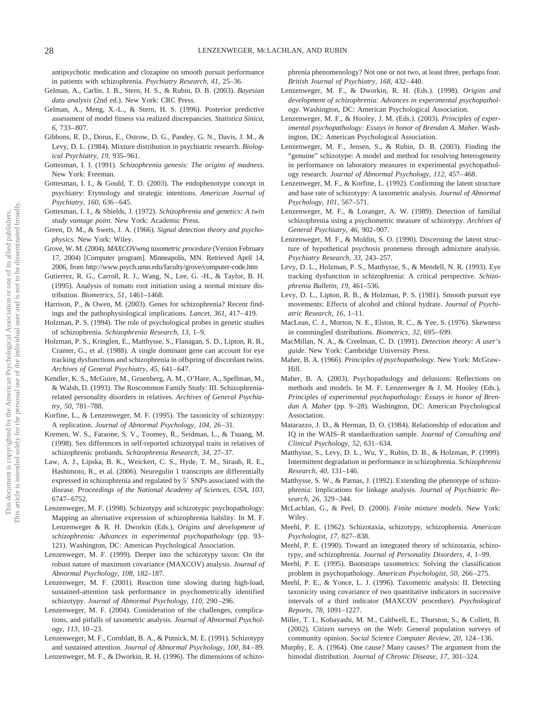antipsychotic medication and clozapine on smooth pursuit performance in patients with schizophrenia. *Psychiatry Research, 41,* 25–36.

- Gelman, A., Carlin, J. B., Stern, H. S., & Rubin, D. B. (2003). *Bayesian data analysis* (2nd ed.). New York: CRC Press.
- Gelman, A., Meng, X.-L., & Stern, H. S. (1996). Posterior predictive assessment of model fitness via realized discrepancies. *Statistica Sinica, 6,* 733– 807.
- Gibbons, R. D., Dorus, E., Ostrow, D. G., Pandey, G. N., Davis, J. M., & Levy, D. L. (1984). Mixture distribution in psychiatric research. *Biological Psychiatry, 19,* 935–961.
- Gottesman, I. I. (1991). *Schizophrenia genesis: The origins of madness*. New York: Freeman.
- Gottesman, I. I., & Gould, T. D. (2003). The endophenotype concept in psychiatry: Etymology and strategic intentions. *American Journal of Psychiatry, 160,* 636 – 645.
- Gottesman, I. I., & Shields, J. (1972). *Schizophrenia and genetics: A twin study vantage point.* New York: Academic Press.
- Green, D. M., & Swets, J. A. (1966). *Signal detection theory and psychophysics.* New York: Wiley.
- Grove, W. M. (2004). *MAXCOVwmg taxometric procedure* (Version February 17, 2004) [Computer program]. Minneapolis, MN. Retrieved April 14, 2006, from http://www.psych.umn.edu/faculty/grove/computer-code.htm
- Gutierrez, R. G., Carroll, R. J., Wang, N., Lee, G. -H., & Taylor, B. H. (1995). Analysis of tomato root initiation using a normal mixture distribution. *Biometrics, 51,* 1461–1468.
- Harrison, P., & Owen, M. (2003). Genes for schizophrenia? Recent findings and the pathophysiological implications. *Lancet, 361,* 417– 419.
- Holzman, P. S. (1994). The role of psychological probes in genetic studies of schizophrenia. *Schizophrenia Research, 13,* 1–9.
- Holzman, P. S., Kringlen, E., Matthysse, S., Flanagan, S. D., Lipton, R. B., Cramer, G., et al. (1988). A single dominant gene can account for eye tracking dysfunctions and schizophrenia in offspring of discordant twins. *Archives of General Psychiatry, 45,* 641– 647.
- Kendler, K. S., McGuire, M., Gruenberg, A. M., O'Hare, A., Spellman, M., & Walsh, D. (1993). The Roscommon Family Study: III. Schizophreniarelated personality disorders in relatives. *Archives of General Psychiatry, 50,* 781–788.
- Korfine, L., & Lenzenweger, M. F. (1995). The taxonicity of schizotypy: A replication. *Journal of Abnormal Psychology, 104, 26-31*.
- Kremen, W. S., Faraone, S. V., Toomey, R., Seidman, L., & Tsuang, M. (1998). Sex differences in self-reported schizotypal traits in relatives of schizophrenic probands. *Schizophrenia Research, 34,* 27–37.
- Law, A. J., Lipska, B. K., Weickert, C. S., Hyde, T. M., Straub, R. E., Hashimoto, R., et al. (2006). Neuregulin 1 transcripts are differentially expressed in schizophrenia and regulated by 5' SNPs associated with the disease. *Proceedings of the National Academy of Sciences, USA, 103,* 6747– 6752.
- Lenzenweger, M. F. (1998). Schizotypy and schizotypic psychopathology: Mapping an alternative expression of schizophrenia liability. In M. F. Lenzenweger & R. H. Dworkin (Eds.), *Origins and development of schizophrenia: Advances in experimental psychopathology* (pp. 93– 121). Washington, DC: American Psychological Association.
- Lenzenweger, M. F. (1999). Deeper into the schizotypy taxon: On the robust nature of maximum covariance (MAXCOV) analysis. *Journal of Abnormal Psychology, 108,* 182–187.
- Lenzenweger, M. F. (2001). Reaction time slowing during high-load, sustained-attention task performance in psychometrically identified schizotypy. *Journal of Abnormal Psychology, 110,* 290 –296.
- Lenzenweger, M. F. (2004). Consideration of the challenges, complications, and pitfalls of taxometric analysis. *Journal of Abnormal Psychology, 113,* 10 –23.
- Lenzenweger, M. F., Cornblatt, B. A., & Putnick, M. E. (1991). Schizotypy and sustained attention. *Journal of Abnormal Psychology, 100,* 84 – 89.

Lenzenweger, M. F., & Dworkin, R. H. (1996). The dimensions of schizo-

phrenia phenomenology? Not one or not two, at least three, perhaps four. *British Journal of Psychiatry, 168,* 432– 440.

- Lenzenweger, M. F., & Dworkin, R. H. (Eds.). (1998). *Origins and development of schizophrenia: Advances in experimental psychopathology*. Washington, DC: American Psychological Association.
- Lenzenweger, M. F., & Hooley, J. M. (Eds.). (2003). *Principles of experimental psychopathology: Essays in honor of Brendan A. Maher*. Washington, DC: American Psychological Association.
- Lenzenweger, M. F., Jensen, S., & Rubin, D. B. (2003). Finding the "genuine" schizotype: A model and method for resolving heterogeneity in performance on laboratory measures in experimental psychopathology research. *Journal of Abnormal Psychology, 112,* 457– 468.
- Lenzenweger, M. F., & Korfine, L. (1992). Confirming the latent structure and base rate of schizotypy: A taxometric analysis. *Journal of Abnormal Psychology, 101,* 567–571.
- Lenzenweger, M. F., & Loranger, A. W. (1989). Detection of familial schizophrenia using a psychometric measure of schizotypy. *Archives of General Psychiatry, 46,* 902–907.
- Lenzenweger, M. F., & Moldin, S. O. (1990). Discerning the latent structure of hypothetical psychosis proneness through admixture analysis. *Psychiatry Research, 33,* 243–257.
- Levy, D. L., Holzman, P. S., Matthysse, S., & Mendell, N. R. (1993). Eye tracking dysfunction in schizophrenia: A critical perspective. *Schizophrenia Bulletin, 19,* 461–536.
- Levy, D. L., Lipton, R. B., & Holzman, P. S. (1981). Smooth pursuit eye movements: Effects of alcohol and chloral hydrate. *Journal of Psychiatric Research, 16,* 1–11.
- MacLean, C. J., Morton, N. E., Elston, R. C., & Yee, S. (1976). Skewness in commingled distributions. *Biometrics, 32,* 695– 699.
- MacMillan, N. A., & Creelman, C. D. (1991). *Detection theory: A user's guide*. New York: Cambridge University Press.
- Maher, B. A. (1966). *Principles of psychopathology*. New York: McGraw-Hill.
- Maher, B. A. (2003). Psychopathology and delusions: Reflections on methods and models. In M. F. Lenzenweger & J. M. Hooley (Eds.), *Principles of experimental psychopathology: Essays in honor of Brendan A. Maher* (pp. 9 –28). Washington, DC: American Psychological Association.
- Matarazzo, J. D., & Herman, D. O. (1984). Relationship of education and IQ in the WAIS–R standardization sample. *Journal of Consulting and Clinical Psychology, 52,* 631– 634.
- Matthysse, S., Levy, D. L., Wu, Y., Rubin, D. B., & Holzman, P. (1999). Intermittent degradation in performance in schizophrenia. *Schizophrenia Research, 40,* 131–146.
- Matthysse, S. W., & Parnas, J. (1992). Extending the phenotype of schizophrenia: Implications for linkage analysis. *Journal of Psychiatric Research, 26,* 329 –344.
- McLachlan, G., & Peel, D. (2000). *Finite mixture models*. New York: Wiley.
- Meehl, P. E. (1962). Schizotaxia, schizotypy, schizophrenia. *American Psychologist, 17,* 827– 838.
- Meehl, P. E. (1990). Toward an integrated theory of schizotaxia, schizotypy, and schizophrenia. *Journal of Personality Disorders, 4,* 1–99.
- Meehl, P. E. (1995). Bootstraps taxometrics: Solving the classification problem in psychopathology. *American Psychologist, 50,* 266 –275.
- Meehl, P. E., & Yonce, L. J. (1996). Taxometric analysis: II. Detecting taxonicity using covariance of two quantitative indicators in successive intervals of a third indicator (MAXCOV procedure). *Psychological Reports, 78,* 1091–1227.
- Miller, T. I., Kobayashi, M. M., Caldwell, E., Thurston, S., & Collett, B. (2002). Citizen surveys on the Web: General population surveys of community opinion. *Social Science Computer Review, 20,* 124 –136.
- Murphy, E. A. (1964). One cause? Many causes? The argument from the bimodal distribution. *Journal of Chronic Disease, 17,* 301–324.